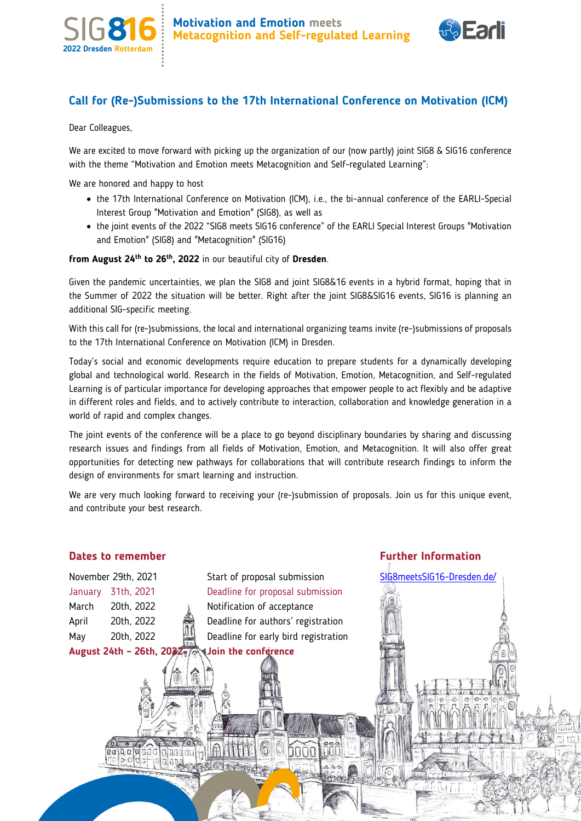



### **Call for (Re-)Submissions to the 17th International Conference on Motivation (ICM)**

Dear Colleagues,

We are excited to move forward with picking up the organization of our (now partly) joint SIG8 & SIG16 conference with the theme "Motivation and Emotion meets Metacognition and Self-regulated Learning":

We are honored and happy to host

- the 17th International Conference on Motivation (ICM), i.e., the bi-annual conference of the EARLI-Special Interest Group "Motivation and Emotion" (SIG8), as well as
- the joint events of the 2022 "SIG8 meets SIG16 conference" of the EARLI Special Interest Groups "Motivation and Emotion" (SIG8) and "Metacognition" (SIG16)

**from August 24th to 26th, 2022** in our beautiful city of **Dresden**.

Given the pandemic uncertainties, we plan the SIG8 and joint SIG8&16 events in a hybrid format, hoping that in the Summer of 2022 the situation will be better. Right after the joint SIG8&SIG16 events, SIG16 is planning an additional SIG-specific meeting.

With this call for (re-)submissions, the local and international organizing teams invite (re-)submissions of proposals to the 17th International Conference on Motivation (ICM) in Dresden.

Today's social and economic developments require education to prepare students for a dynamically developing global and technological world. Research in the fields of Motivation, Emotion, Metacognition, and Self-regulated Learning is of particular importance for developing approaches that empower people to act flexibly and be adaptive in different roles and fields, and to actively contribute to interaction, collaboration and knowledge generation in a world of rapid and complex changes.

The joint events of the conference will be a place to go beyond disciplinary boundaries by sharing and discussing research issues and findings from all fields of Motivation, Emotion, and Metacognition. It will also offer great opportunities for detecting new pathways for collaborations that will contribute research findings to inform the design of environments for smart learning and instruction.

We are very much looking forward to receiving your (re-)submission of proposals. Join us for this unique event, and contribute your best research.

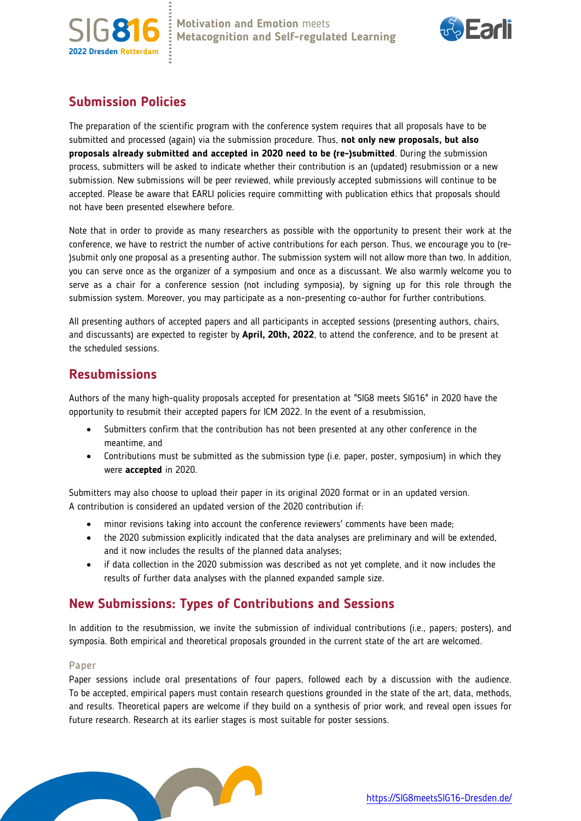



# **Submission Policies**

The preparation of the scientific program with the conference system requires that all proposals have to be submitted and processed (again) via the submission procedure. Thus, **not only new proposals, but also proposals already submitted and accepted in 2020 need to be (re-)submitted**. During the submission process, submitters will be asked to indicate whether their contribution is an (updated) resubmission or a new submission. New submissions will be peer reviewed, while previously accepted submissions will continue to be accepted. Please be aware that EARLI policies require committing with publication ethics that proposals should not have been presented elsewhere before.

Note that in order to provide as many researchers as possible with the opportunity to present their work at the conference, we have to restrict the number of active contributions for each person. Thus, we encourage you to (re- )submit only one proposal as a presenting author. The submission system will not allow more than two. In addition, you can serve once as the organizer of a symposium and once as a discussant. We also warmly welcome you to serve as a chair for a conference session (not including symposia), by signing up for this role through the submission system. Moreover, you may participate as a non-presenting co-author for further contributions.

All presenting authors of accepted papers and all participants in accepted sessions (presenting authors, chairs, and discussants) are expected to register by **April, 20th, 2022**, to attend the conference, and to be present at the scheduled sessions.

## **Resubmissions**

Authors of the many high-quality proposals accepted for presentation at "SIG8 meets SIG16" in 2020 have the opportunity to resubmit their accepted papers for ICM 2022. In the event of a resubmission,

- Submitters confirm that the contribution has not been presented at any other conference in the meantime, and
- Contributions must be submitted as the submission type (i.e. paper, poster, symposium) in which they were **accepted** in 2020.

Submitters may also choose to upload their paper in its original 2020 format or in an updated version. A contribution is considered an updated version of the 2020 contribution if:

- minor revisions taking into account the conference reviewers' comments have been made;
- the 2020 submission explicitly indicated that the data analyses are preliminary and will be extended, and it now includes the results of the planned data analyses;
- if data collection in the 2020 submission was described as not yet complete, and it now includes the results of further data analyses with the planned expanded sample size.

## **New Submissions: Types of Contributions and Sessions**

In addition to the resubmission, we invite the submission of individual contributions (i.e., papers; posters), and symposia. Both empirical and theoretical proposals grounded in the current state of the art are welcomed.

### Paper

Paper sessions include oral presentations of four papers, followed each by a discussion with the audience. To be accepted, empirical papers must contain research questions grounded in the state of the art, data, methods, and results. Theoretical papers are welcome if they build on a synthesis of prior work, and reveal open issues for future research. Research at its earlier stages is most suitable for poster sessions.